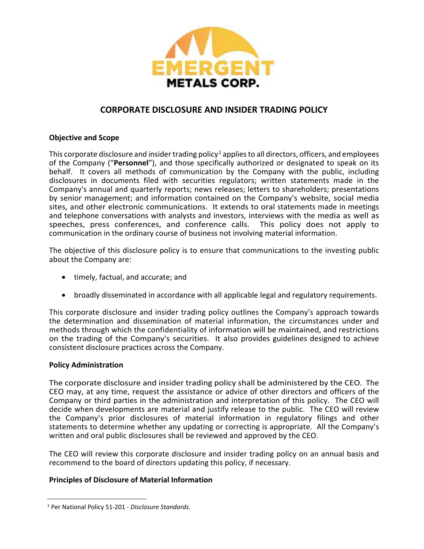

# **CORPORATE DISCLOSURE AND INSIDER TRADING POLICY**

# **Objective and Scope**

This corporate disclosure and insider trading policy<sup>[1](#page-0-0)</sup> applies to all directors, officers, and employees of the Company ("**Personnel**"), and those specifically authorized or designated to speak on its behalf. It covers all methods of communication by the Company with the public, including disclosures in documents filed with securities regulators; written statements made in the Company's annual and quarterly reports; news releases; letters to shareholders; presentations by senior management; and information contained on the Company's website, social media sites, and other electronic communications. It extends to oral statements made in meetings and telephone conversations with analysts and investors, interviews with the media as well as speeches, press conferences, and conference calls. This policy does not apply to communication in the ordinary course of business not involving material information.

The objective of this disclosure policy is to ensure that communications to the investing public about the Company are:

- timely, factual, and accurate; and
- broadly disseminated in accordance with all applicable legal and regulatory requirements.

This corporate disclosure and insider trading policy outlines the Company's approach towards the determination and dissemination of material information, the circumstances under and methods through which the confidentiality of information will be maintained, and restrictions on the trading of the Company's securities. It also provides guidelines designed to achieve consistent disclosure practices across the Company.

# **Policy Administration**

The corporate disclosure and insider trading policy shall be administered by the CEO. The CEO may, at any time, request the assistance or advice of other directors and officers of the Company or third parties in the administration and interpretation of this policy. The CEO will decide when developments are material and justify release to the public. The CEO will review the Company's prior disclosures of material information in regulatory filings and other statements to determine whether any updating or correcting is appropriate. All the Company's written and oral public disclosures shall be reviewed and approved by the CEO.

The CEO will review this corporate disclosure and insider trading policy on an annual basis and recommend to the board of directors updating this policy, if necessary.

# **Principles of Disclosure of Material Information**

<span id="page-0-0"></span><sup>1</sup> Per National Policy 51-201 - *Disclosure Standards*.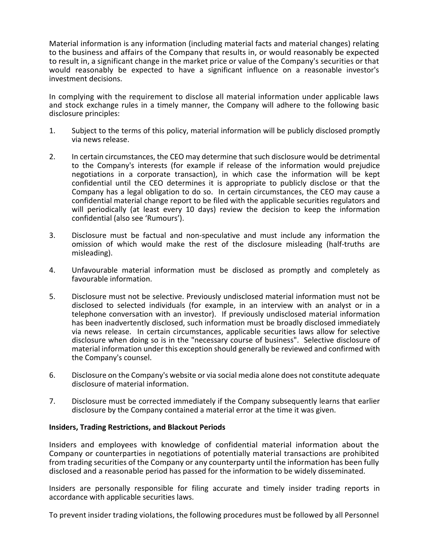Material information is any information (including material facts and material changes) relating to the business and affairs of the Company that results in, or would reasonably be expected to result in, a significant change in the market price or value of the Company's securities or that would reasonably be expected to have a significant influence on a reasonable investor's investment decisions.

In complying with the requirement to disclose all material information under applicable laws and stock exchange rules in a timely manner, the Company will adhere to the following basic disclosure principles:

- 1. Subject to the terms of this policy, material information will be publicly disclosed promptly via news release.
- 2. In certain circumstances, the CEO may determine that such disclosure would be detrimental to the Company's interests (for example if release of the information would prejudice negotiations in a corporate transaction), in which case the information will be kept confidential until the CEO determines it is appropriate to publicly disclose or that the Company has a legal obligation to do so. In certain circumstances, the CEO may cause a confidential material change report to be filed with the applicable securities regulators and will periodically (at least every 10 days) review the decision to keep the information confidential (also see 'Rumours').
- 3. Disclosure must be factual and non-speculative and must include any information the omission of which would make the rest of the disclosure misleading (half-truths are misleading).
- 4. Unfavourable material information must be disclosed as promptly and completely as favourable information.
- 5. Disclosure must not be selective. Previously undisclosed material information must not be disclosed to selected individuals (for example, in an interview with an analyst or in a telephone conversation with an investor). If previously undisclosed material information has been inadvertently disclosed, such information must be broadly disclosed immediately via news release. In certain circumstances, applicable securities laws allow for selective disclosure when doing so is in the "necessary course of business". Selective disclosure of material information under this exception should generally be reviewed and confirmed with the Company's counsel.
- 6. Disclosure on the Company's website or via social media alone does not constitute adequate disclosure of material information.
- 7. Disclosure must be corrected immediately if the Company subsequently learns that earlier disclosure by the Company contained a material error at the time it was given.

### **Insiders, Trading Restrictions, and Blackout Periods**

Insiders and employees with knowledge of confidential material information about the Company or counterparties in negotiations of potentially material transactions are prohibited from trading securities of the Company or any counterparty until the information has been fully disclosed and a reasonable period has passed for the information to be widely disseminated.

Insiders are personally responsible for filing accurate and timely insider trading reports in accordance with applicable securities laws.

To prevent insider trading violations, the following procedures must be followed by all Personnel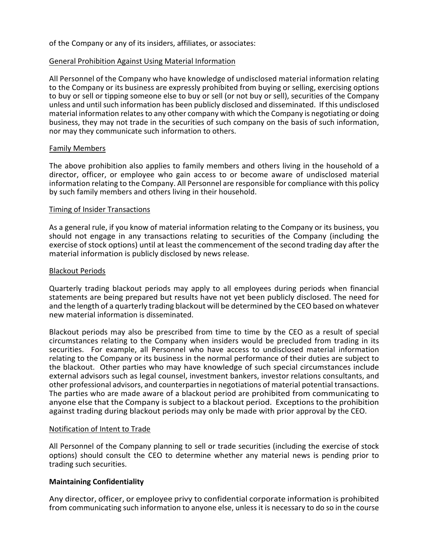of the Company or any of its insiders, affiliates, or associates:

### General Prohibition Against Using Material Information

All Personnel of the Company who have knowledge of undisclosed material information relating to the Company or its business are expressly prohibited from buying or selling, exercising options to buy or sell or tipping someone else to buy or sell (or not buy or sell), securities of the Company unless and until such information has been publicly disclosed and disseminated. If this undisclosed material information relates to any other company with which the Company is negotiating or doing business, they may not trade in the securities of such company on the basis of such information, nor may they communicate such information to others.

### Family Members

The above prohibition also applies to family members and others living in the household of a director, officer, or employee who gain access to or become aware of undisclosed material information relating to the Company. All Personnel are responsible for compliance with this policy by such family members and others living in their household.

### Timing of Insider Transactions

As a general rule, if you know of material information relating to the Company or its business, you should not engage in any transactions relating to securities of the Company (including the exercise of stock options) until at least the commencement of the second trading day after the material information is publicly disclosed by news release.

### Blackout Periods

Quarterly trading blackout periods may apply to all employees during periods when financial statements are being prepared but results have not yet been publicly disclosed. The need for and the length of a quarterly trading blackout will be determined by the CEO based on whatever new material information is disseminated.

Blackout periods may also be prescribed from time to time by the CEO as a result of special circumstances relating to the Company when insiders would be precluded from trading in its securities. For example, all Personnel who have access to undisclosed material information relating to the Company or its business in the normal performance of their duties are subject to the blackout. Other parties who may have knowledge of such special circumstances include external advisors such as legal counsel, investment bankers, investor relations consultants, and other professional advisors, and counterpartiesin negotiations of material potential transactions. The parties who are made aware of a blackout period are prohibited from communicating to anyone else that the Company is subject to a blackout period. Exceptions to the prohibition against trading during blackout periods may only be made with prior approval by the CEO.

### Notification of Intent to Trade

All Personnel of the Company planning to sell or trade securities (including the exercise of stock options) should consult the CEO to determine whether any material news is pending prior to trading such securities.

# **Maintaining Confidentiality**

Any director, officer, or employee privy to confidential corporate information is prohibited from communicating such information to anyone else, unless it is necessary to do so in the course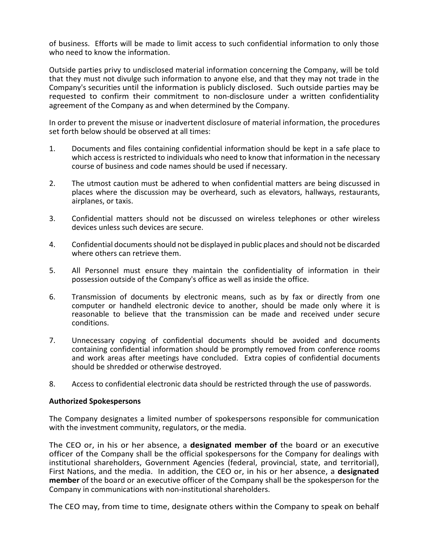of business. Efforts will be made to limit access to such confidential information to only those who need to know the information.

Outside parties privy to undisclosed material information concerning the Company, will be told that they must not divulge such information to anyone else, and that they may not trade in the Company's securities until the information is publicly disclosed. Such outside parties may be requested to confirm their commitment to non-disclosure under a written confidentiality agreement of the Company as and when determined by the Company.

In order to prevent the misuse or inadvertent disclosure of material information, the procedures set forth below should be observed at all times:

- 1. Documents and files containing confidential information should be kept in a safe place to which access is restricted to individuals who need to know that information in the necessary course of business and code names should be used if necessary.
- 2. The utmost caution must be adhered to when confidential matters are being discussed in places where the discussion may be overheard, such as elevators, hallways, restaurants, airplanes, or taxis.
- 3. Confidential matters should not be discussed on wireless telephones or other wireless devices unless such devices are secure.
- 4. Confidential documents should not be displayed in public places and should not be discarded where others can retrieve them.
- 5. All Personnel must ensure they maintain the confidentiality of information in their possession outside of the Company's office as well as inside the office.
- 6. Transmission of documents by electronic means, such as by fax or directly from one computer or handheld electronic device to another, should be made only where it is reasonable to believe that the transmission can be made and received under secure conditions.
- 7. Unnecessary copying of confidential documents should be avoided and documents containing confidential information should be promptly removed from conference rooms and work areas after meetings have concluded. Extra copies of confidential documents should be shredded or otherwise destroyed.
- 8. Access to confidential electronic data should be restricted through the use of passwords.

### **Authorized Spokespersons**

The Company designates a limited number of spokespersons responsible for communication with the investment community, regulators, or the media.

The CEO or, in his or her absence, a **designated member of** the board or an executive officer of the Company shall be the official spokespersons for the Company for dealings with institutional shareholders, Government Agencies (federal, provincial, state, and territorial), First Nations, and the media. In addition, the CEO or, in his or her absence, a **designated member** of the board or an executive officer of the Company shall be the spokesperson for the Company in communications with non-institutional shareholders.

The CEO may, from time to time, designate others within the Company to speak on behalf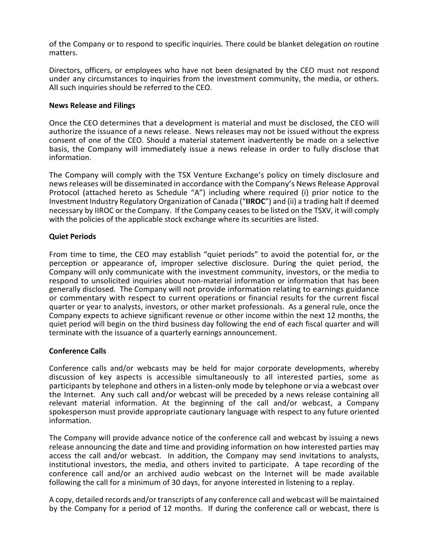of the Company or to respond to specific inquiries. There could be blanket delegation on routine matters.

Directors, officers, or employees who have not been designated by the CEO must not respond under any circumstances to inquiries from the investment community, the media, or others. All such inquiries should be referred to the CEO.

### **News Release and Filings**

Once the CEO determines that a development is material and must be disclosed, the CEO will authorize the issuance of a news release. News releases may not be issued without the express consent of one of the CEO. Should a material statement inadvertently be made on a selective basis, the Company will immediately issue a news release in order to fully disclose that information.

The Company will comply with the TSX Venture Exchange's policy on timely disclosure and news releases will be disseminated in accordance with the Company's News Release Approval Protocol (attached hereto as Schedule "A") including where required (i) prior notice to the Investment Industry Regulatory Organization of Canada ("**IIROC**") and (ii) a trading halt if deemed necessary by IIROC or the Company. If the Company ceases to be listed on the TSXV, it will comply with the policies of the applicable stock exchange where its securities are listed.

# **Quiet Periods**

From time to time, the CEO may establish "quiet periods" to avoid the potential for, or the perception or appearance of, improper selective disclosure. During the quiet period, the Company will only communicate with the investment community, investors, or the media to respond to unsolicited inquiries about non-material information or information that has been generally disclosed. The Company will not provide information relating to earnings guidance or commentary with respect to current operations or financial results for the current fiscal quarter or year to analysts, investors, or other market professionals. As a general rule, once the Company expects to achieve significant revenue or other income within the next 12 months, the quiet period will begin on the third business day following the end of each fiscal quarter and will terminate with the issuance of a quarterly earnings announcement.

# **Conference Calls**

Conference calls and/or webcasts may be held for major corporate developments, whereby discussion of key aspects is accessible simultaneously to all interested parties, some as participants by telephone and others in a listen-only mode by telephone or via a webcast over the Internet. Any such call and/or webcast will be preceded by a news release containing all relevant material information. At the beginning of the call and/or webcast, a Company spokesperson must provide appropriate cautionary language with respect to any future oriented information.

The Company will provide advance notice of the conference call and webcast by issuing a news release announcing the date and time and providing information on how interested parties may access the call and/or webcast. In addition, the Company may send invitations to analysts, institutional investors, the media, and others invited to participate. A tape recording of the conference call and/or an archived audio webcast on the Internet will be made available following the call for a minimum of 30 days, for anyone interested in listening to a replay.

A copy, detailed records and/or transcripts of any conference call and webcast will be maintained by the Company for a period of 12 months. If during the conference call or webcast, there is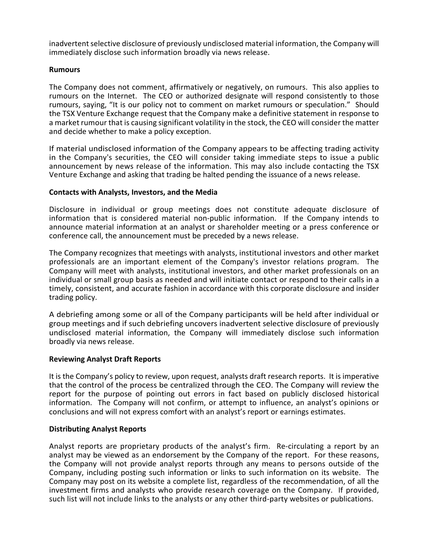inadvertent selective disclosure of previously undisclosed material information, the Company will immediately disclose such information broadly via news release.

### **Rumours**

The Company does not comment, affirmatively or negatively, on rumours. This also applies to rumours on the Internet. The CEO or authorized designate will respond consistently to those rumours, saying, "It is our policy not to comment on market rumours or speculation." Should the TSX Venture Exchange request that the Company make a definitive statement in response to a market rumour that is causing significant volatility in the stock, the CEO will consider the matter and decide whether to make a policy exception.

If material undisclosed information of the Company appears to be affecting trading activity in the Company's securities, the CEO will consider taking immediate steps to issue a public announcement by news release of the information. This may also include contacting the TSX Venture Exchange and asking that trading be halted pending the issuance of a news release.

# **Contacts with Analysts, Investors, and the Media**

Disclosure in individual or group meetings does not constitute adequate disclosure of information that is considered material non-public information. If the Company intends to announce material information at an analyst or shareholder meeting or a press conference or conference call, the announcement must be preceded by a news release.

The Company recognizes that meetings with analysts, institutional investors and other market professionals are an important element of the Company's investor relations program. The Company will meet with analysts, institutional investors, and other market professionals on an individual or small group basis as needed and will initiate contact or respond to their calls in a timely, consistent, and accurate fashion in accordance with this corporate disclosure and insider trading policy.

A debriefing among some or all of the Company participants will be held after individual or group meetings and if such debriefing uncovers inadvertent selective disclosure of previously undisclosed material information, the Company will immediately disclose such information broadly via news release.

# **Reviewing Analyst Draft Reports**

It is the Company's policy to review, upon request, analysts draft research reports. It is imperative that the control of the process be centralized through the CEO. The Company will review the report for the purpose of pointing out errors in fact based on publicly disclosed historical information. The Company will not confirm, or attempt to influence, an analyst's opinions or conclusions and will not express comfort with an analyst's report or earnings estimates.

### **Distributing Analyst Reports**

Analyst reports are proprietary products of the analyst's firm. Re-circulating a report by an analyst may be viewed as an endorsement by the Company of the report. For these reasons, the Company will not provide analyst reports through any means to persons outside of the Company, including posting such information or links to such information on its website. The Company may post on its website a complete list, regardless of the recommendation, of all the investment firms and analysts who provide research coverage on the Company. If provided, such list will not include links to the analysts or any other third-party websites or publications.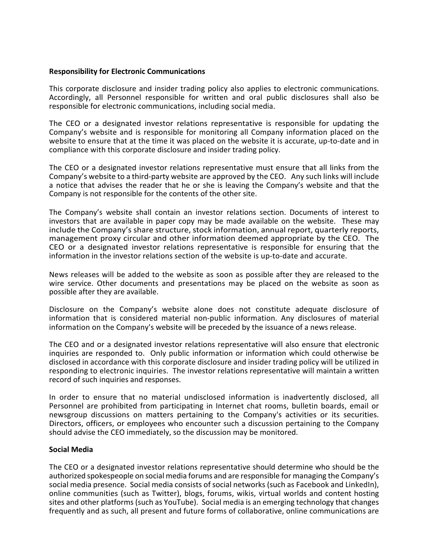### **Responsibility for Electronic Communications**

This corporate disclosure and insider trading policy also applies to electronic communications. Accordingly, all Personnel responsible for written and oral public disclosures shall also be responsible for electronic communications, including social media.

The CEO or a designated investor relations representative is responsible for updating the Company's website and is responsible for monitoring all Company information placed on the website to ensure that at the time it was placed on the website it is accurate, up-to-date and in compliance with this corporate disclosure and insider trading policy.

The CEO or a designated investor relations representative must ensure that all links from the Company's website to a third-party website are approved by the CEO. Any such links will include a notice that advises the reader that he or she is leaving the Company's website and that the Company is not responsible for the contents of the other site.

The Company's website shall contain an investor relations section. Documents of interest to investors that are available in paper copy may be made available on the website. These may include the Company's share structure, stock information, annual report, quarterly reports, management proxy circular and other information deemed appropriate by the CEO. The CEO or a designated investor relations representative is responsible for ensuring that the information in the investor relations section of the website is up-to-date and accurate.

News releases will be added to the website as soon as possible after they are released to the wire service. Other documents and presentations may be placed on the website as soon as possible after they are available.

Disclosure on the Company's website alone does not constitute adequate disclosure of information that is considered material non-public information. Any disclosures of material information on the Company's website will be preceded by the issuance of a news release.

The CEO and or a designated investor relations representative will also ensure that electronic inquiries are responded to. Only public information or information which could otherwise be disclosed in accordance with this corporate disclosure and insider trading policy will be utilized in responding to electronic inquiries. The investor relations representative will maintain a written record of such inquiries and responses.

In order to ensure that no material undisclosed information is inadvertently disclosed, all Personnel are prohibited from participating in Internet chat rooms, bulletin boards, email or newsgroup discussions on matters pertaining to the Company's activities or its securities. Directors, officers, or employees who encounter such a discussion pertaining to the Company should advise the CEO immediately, so the discussion may be monitored.

### **Social Media**

The CEO or a designated investor relations representative should determine who should be the authorized spokespeople on social media forums and are responsible for managing the Company's social media presence. Social media consists of social networks (such as Facebook and LinkedIn), online communities (such as Twitter), blogs, forums, wikis, virtual worlds and content hosting sites and other platforms (such as YouTube). Social media is an emerging technology that changes frequently and as such, all present and future forms of collaborative, online communications are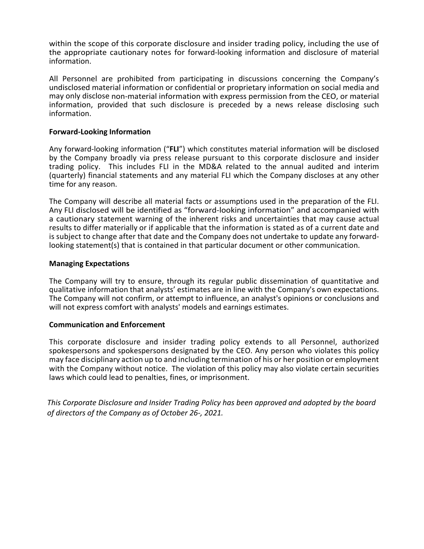within the scope of this corporate disclosure and insider trading policy, including the use of the appropriate cautionary notes for forward-looking information and disclosure of material information.

All Personnel are prohibited from participating in discussions concerning the Company's undisclosed material information or confidential or proprietary information on social media and may only disclose non-material information with express permission from the CEO, or material information, provided that such disclosure is preceded by a news release disclosing such information.

### **Forward-Looking Information**

Any forward-looking information ("**FLI**") which constitutes material information will be disclosed by the Company broadly via press release pursuant to this corporate disclosure and insider trading policy. This includes FLI in the MD&A related to the annual audited and interim (quarterly) financial statements and any material FLI which the Company discloses at any other time for any reason.

The Company will describe all material facts or assumptions used in the preparation of the FLI. Any FLI disclosed will be identified as "forward-looking information" and accompanied with a cautionary statement warning of the inherent risks and uncertainties that may cause actual results to differ materially or if applicable that the information is stated as of a current date and is subject to change after that date and the Company does not undertake to update any forwardlooking statement(s) that is contained in that particular document or other communication.

### **Managing Expectations**

The Company will try to ensure, through its regular public dissemination of quantitative and qualitative information that analysts' estimates are in line with the Company's own expectations. The Company will not confirm, or attempt to influence, an analyst's opinions or conclusions and will not express comfort with analysts' models and earnings estimates.

### **Communication and Enforcement**

This corporate disclosure and insider trading policy extends to all Personnel, authorized spokespersons and spokespersons designated by the CEO. Any person who violates this policy may face disciplinary action up to and including termination of his or her position or employment with the Company without notice. The violation of this policy may also violate certain securities laws which could lead to penalties, fines, or imprisonment.

*This Corporate Disclosure and Insider Trading Policy has been approved and adopted by the board of directors of the Company as of October 26-, 2021.*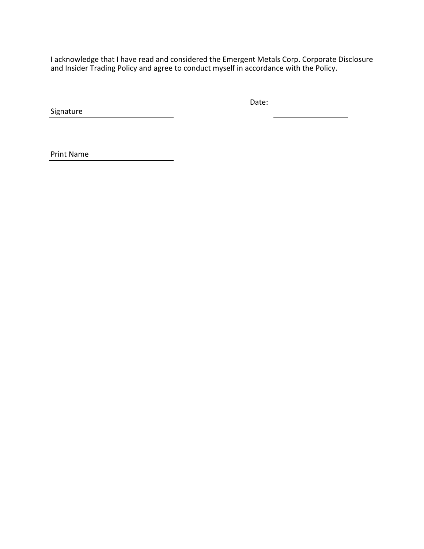I acknowledge that I have read and considered the Emergent Metals Corp. Corporate Disclosure and Insider Trading Policy and agree to conduct myself in accordance with the Policy.

Signature

Date:

Print Name